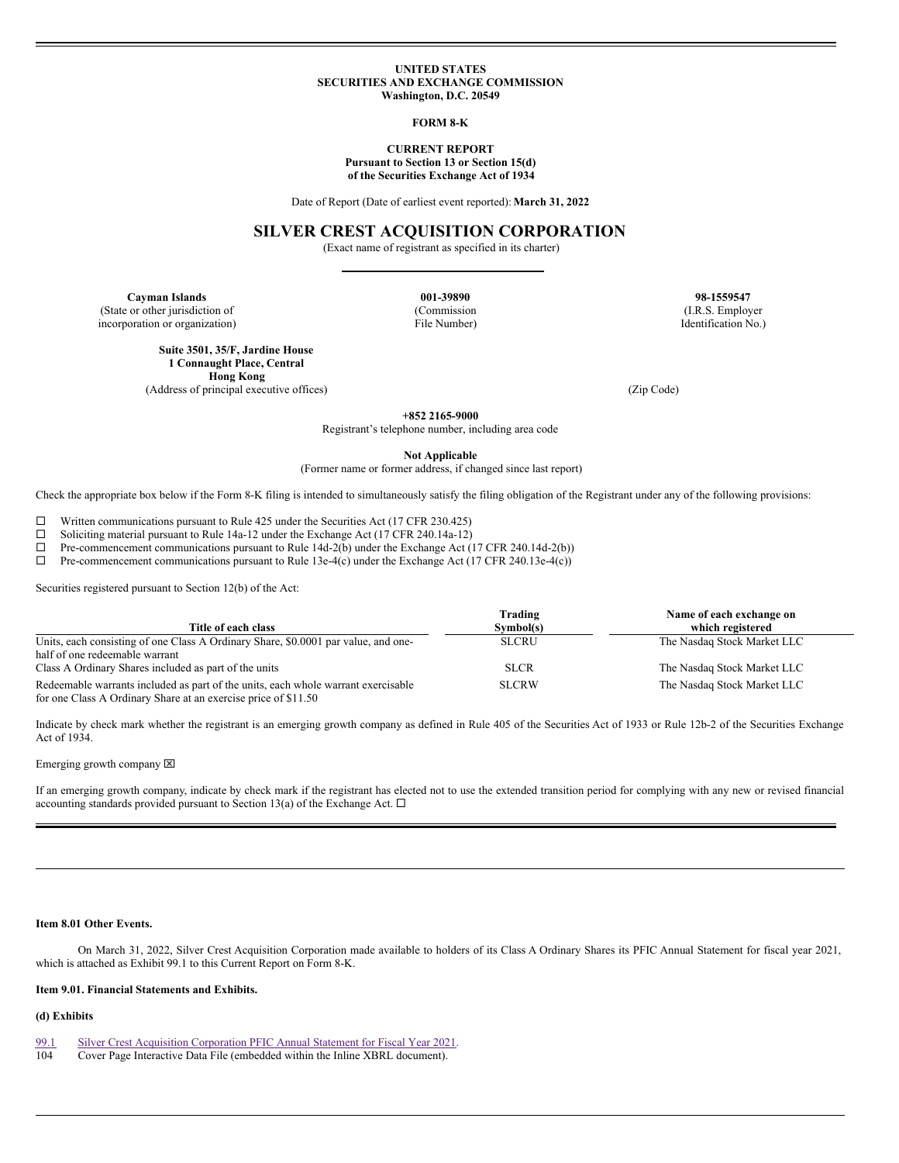## **UNITED STATES SECURITIES AND EXCHANGE COMMISSION Washington, D.C. 20549**

#### **FORM 8-K**

# **CURRENT REPORT**

**Pursuant to Section 13 or Section 15(d) of the Securities Exchange Act of 1934**

Date of Report (Date of earliest event reported):**March 31, 2022**

# **SILVER CREST ACQUISITION CORPORATION**

(Exact name of registrant as specified in its charter)

**Cayman Islands 198-1559547**<br> **Commission 1.R.S. Employer**<br> **Commission 1.R.S. Employer**<br> **Commission 1.R.S. Employer** (State or other jurisdiction of (Commission)

incorporation or organization) File Number) Identification No.)

**Suite 3501, 35/F, Jardine House 1 Connaught Place, Central Hong Kong**

(Address of principal executive offices) (Zip Code)

**+852 2165-9000**

Registrant's telephone number, including area code

**Not Applicable**

(Former name or former address, if changed since last report)

Check the appropriate box below if the Form 8-K filing is intended to simultaneously satisfy the filing obligation of the Registrant under any of the following provisions:

□ Written communications pursuant to Rule 425 under the Securities Act (17 CFR 230.425)<br>□ Soliciting material pursuant to Rule 14a-12 under the Exchange Act (17 CFR 240.14a-12)

<p>\n The <math>□</math> <i>Soliciting material pursuit to Rule 14a-12 under the Exchange Act (17 CFR 240.14a-12)</i>.\n The <i>Commencement communications pursuit to Rule 14d-2(b) under the Exchange Act (</i>\n</p>

Pre-commencement communications pursuant to Rule 14d-2(b) under the Exchange Act (17 CFR 240.14d-2(b))

 $\Box$  Pre-commencement communications pursuant to Rule 13e-4(c) under the Exchange Act (17 CFR 240.13e-4(c))

Securities registered pursuant to Section 12(b) of the Act:

| Title of each class                                                                                                                                 | Trading<br>Symbol(s) | Name of each exchange on<br>which registered |
|-----------------------------------------------------------------------------------------------------------------------------------------------------|----------------------|----------------------------------------------|
| Units, each consisting of one Class A Ordinary Share, \$0,0001 par value, and one-                                                                  | <b>SLCRU</b>         | The Nasdaq Stock Market LLC                  |
| half of one redeemable warrant                                                                                                                      |                      |                                              |
| Class A Ordinary Shares included as part of the units                                                                                               | <b>SLCR</b>          | The Nasdaq Stock Market LLC                  |
| Redeemable warrants included as part of the units, each whole warrant exercisable<br>for one Class A Ordinary Share at an exercise price of \$11.50 | <b>SLCRW</b>         | The Nasdaq Stock Market LLC                  |

Indicate by check mark whether the registrant is an emerging growth company as defined in Rule 405 of the Securities Act of 1933 or Rule 12b-2 of the Securities Exchange Act of 1934.

Emerging growth company  $\boxtimes$ 

If an emerging growth company, indicate by check mark if the registrant has elected not to use the extended transition period for complying with any new or revised financial accounting standards provided pursuant to Section 13(a) of the Exchange Act.  $\Box$ 

# **Item 8.01 Other Events.**

On March 31, 2022, Silver Crest Acquisition Corporation made available to holders of its Class A Ordinary Shares its PFIC Annual Statement for fiscal year 2021, which is attached as Exhibit 99.1 to this Current Report on Form 8-K.

### **Item 9.01. Financial Statements and Exhibits.**

# **(d) Exhibits**

[99.1](#page-2-0) Silver Crest Acquisition [Corporation](#page-2-0) PFIC Annual Statement for Fiscal Year 2021.<br>104 Cover Page Interactive Data File (embedded within the Inline XBRL document).

Cover Page Interactive Data File (embedded within the Inline XBRL document).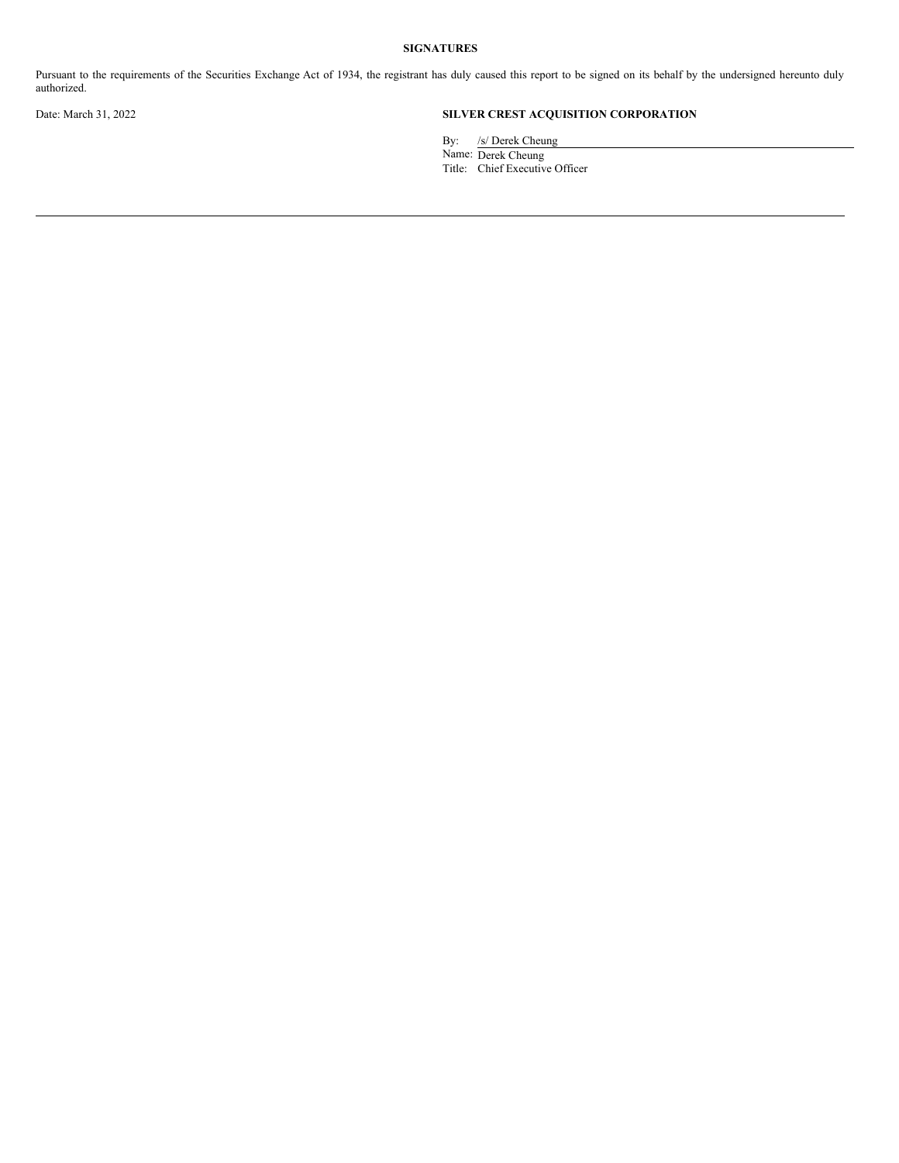# **SIGNATURES**

Pursuant to the requirements of the Securities Exchange Act of 1934, the registrant has duly caused this report to be signed on its behalf by the undersigned hereunto duly authorized.

# Date: March 31, 2022 **SILVER CREST ACQUISITION CORPORATION**

By: /s/ Derek Cheung

Name: Derek Cheung

Title: Chief Executive Officer